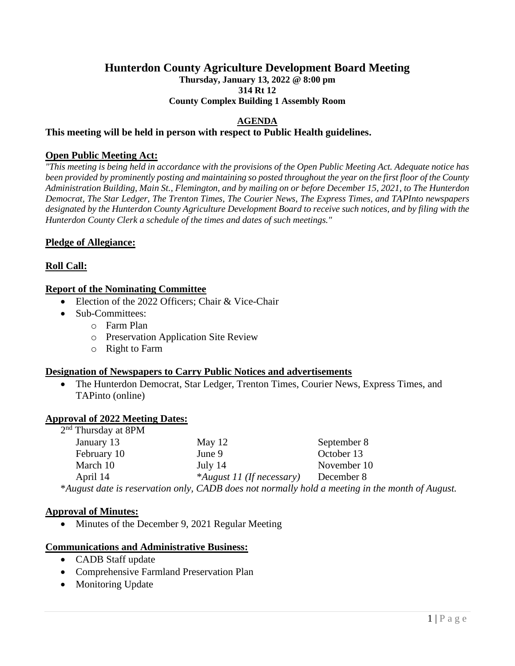# **Hunterdon County Agriculture Development Board Meeting**

**Thursday, January 13, 2022 @ 8:00 pm 314 Rt 12** 

**County Complex Building 1 Assembly Room**

## **AGENDA**

### **This meeting will be held in person with respect to Public Health guidelines.**

### **Open Public Meeting Act:**

*"This meeting is being held in accordance with the provisions of the Open Public Meeting Act. Adequate notice has been provided by prominently posting and maintaining so posted throughout the year on the first floor of the County Administration Building, Main St., Flemington, and by mailing on or before December 15, 2021, to The Hunterdon Democrat, The Star Ledger, The Trenton Times, The Courier News, The Express Times, and TAPInto newspapers designated by the Hunterdon County Agriculture Development Board to receive such notices, and by filing with the Hunterdon County Clerk a schedule of the times and dates of such meetings."*

## **Pledge of Allegiance:**

## **Roll Call:**

## **Report of the Nominating Committee**

- Election of the 2022 Officers: Chair & Vice-Chair
- Sub-Committees:
	- o Farm Plan
	- o Preservation Application Site Review
	- o Right to Farm

## **Designation of Newspapers to Carry Public Notices and advertisements**

• The Hunterdon Democrat, Star Ledger, Trenton Times, Courier News, Express Times, and TAPinto (online)

#### **Approval of 2022 Meeting Dates:**

| $2nd$ Thursday at 8PM                                                                           |                           |             |
|-------------------------------------------------------------------------------------------------|---------------------------|-------------|
| January 13                                                                                      | May $12$                  | September 8 |
| February 10                                                                                     | June 9                    | October 13  |
| March 10                                                                                        | July 14                   | November 10 |
| April 14                                                                                        | *August 11 (If necessary) | December 8  |
| *August date is reservation only, CADB does not normally hold a meeting in the month of August. |                           |             |

#### **Approval of Minutes:**

• Minutes of the December 9, 2021 Regular Meeting

#### **Communications and Administrative Business:**

- CADB Staff update
- Comprehensive Farmland Preservation Plan
- Monitoring Update